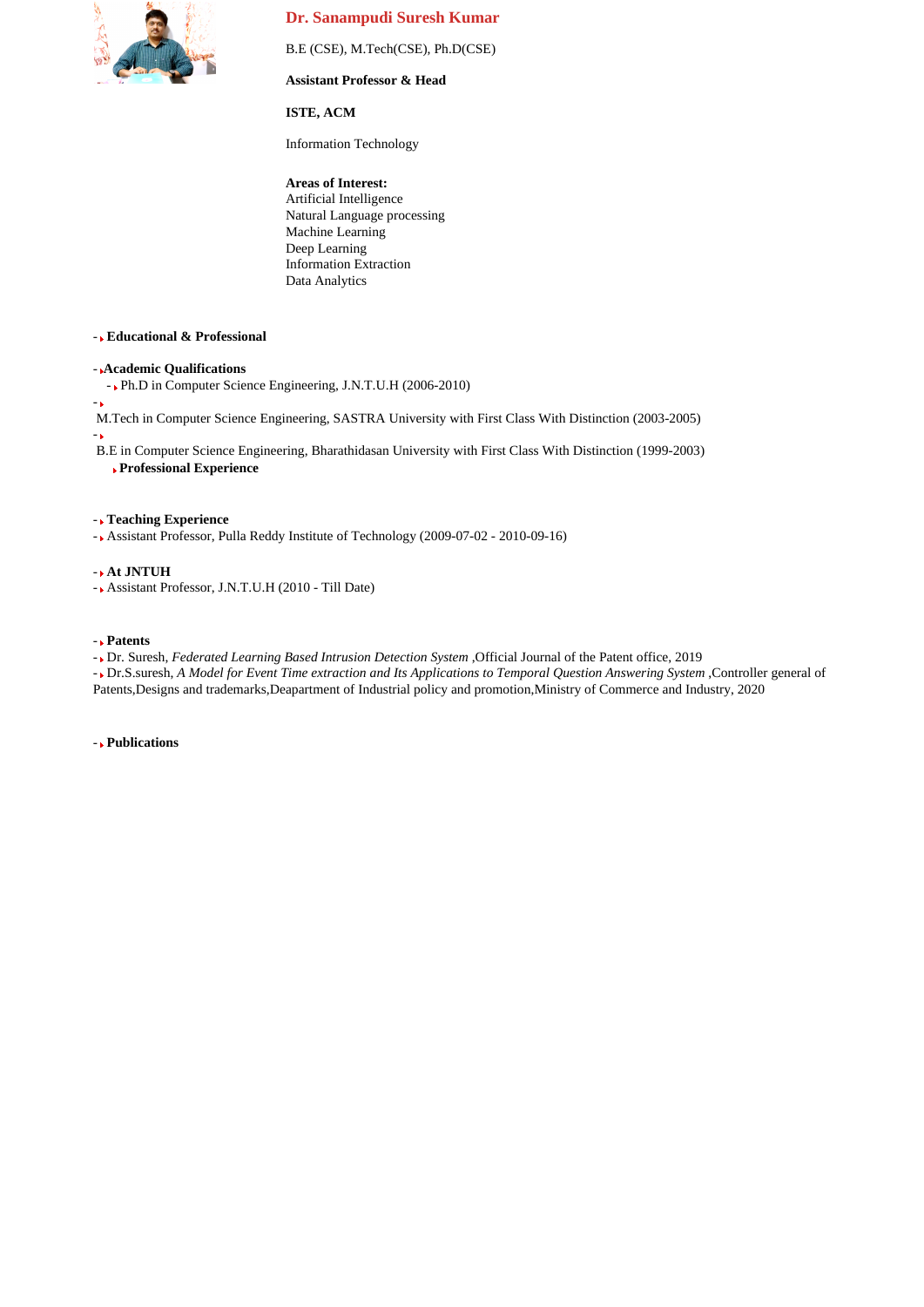

# **Dr. Sanampudi Suresh Kumar**

B.E (CSE), M.Tech(CSE), Ph.D(CSE)

### **Assistant Professor & Head**

### **ISTE, ACM**

Information Technology

## **Areas of Interest:**

Artificial Intelligence Natural Language processing Machine Learning Deep Learning Information Extraction Data Analytics

## - **Educational & Professional**

### - **Academic Qualifications**

- Ph.D in Computer Science Engineering, J.N.T.U.H (2006-2010)

M.Tech in Computer Science Engineering, SASTRA University with First Class With Distinction (2003-2005)

-

-

B.E in Computer Science Engineering, Bharathidasan University with First Class With Distinction (1999-2003)

**Professional Experience**

### - **Teaching Experience**

- Assistant Professor, Pulla Reddy Institute of Technology (2009-07-02 - 2010-09-16)

### - **At JNTUH**

- Assistant Professor, J.N.T.U.H (2010 - Till Date)

### - **Patents**

- Dr. Suresh, *Federated Learning Based Intrusion Detection System* ,Official Journal of the Patent office, 2019

- Dr.S.suresh, *A Model for Event Time extraction and Its Applications to Temporal Question Answering System* ,Controller general of Patents,Designs and trademarks,Deapartment of Industrial policy and promotion,Ministry of Commerce and Industry, 2020

### - **Publications**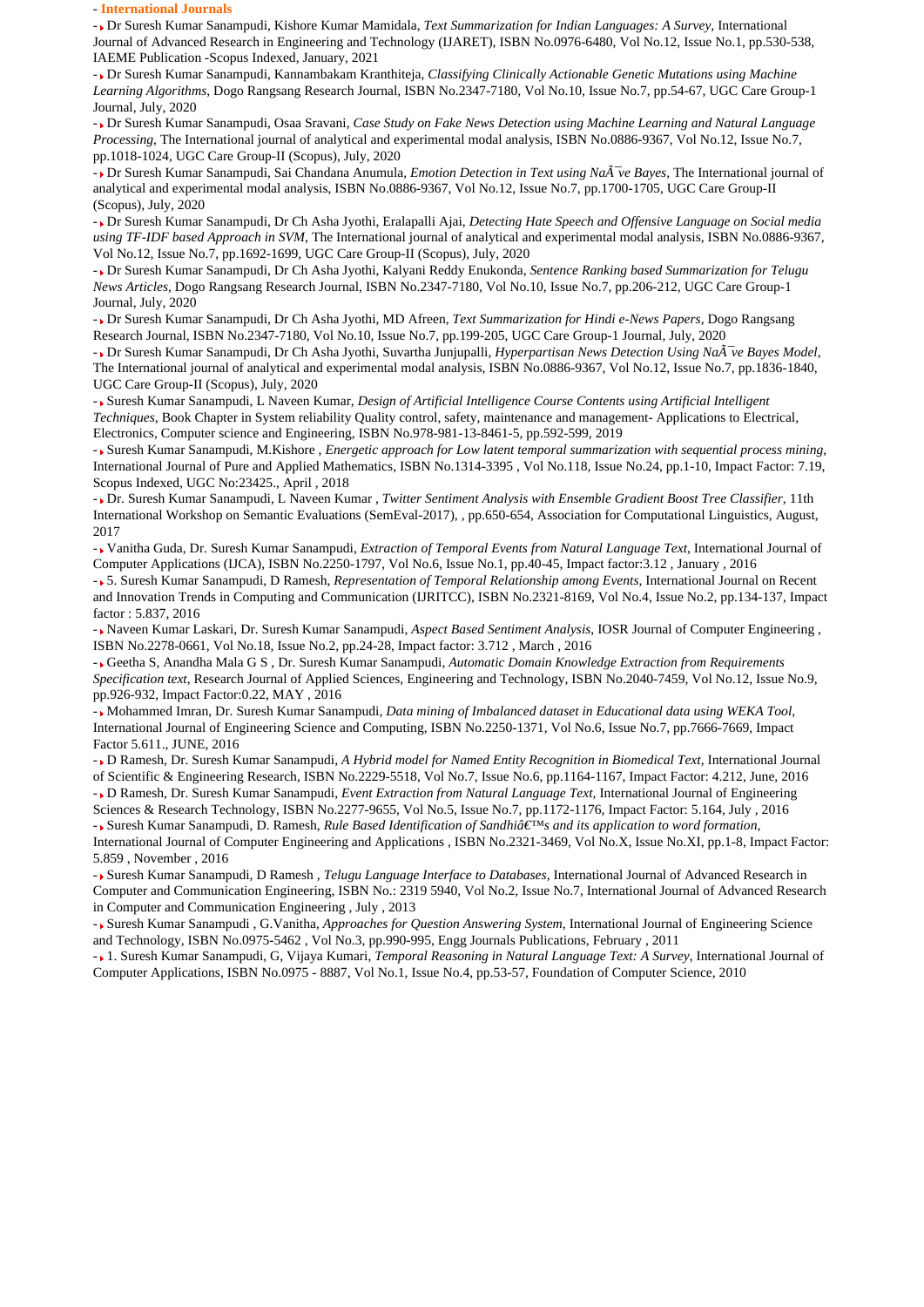#### - **International Journals**

- Dr Suresh Kumar Sanampudi, Kishore Kumar Mamidala, *Text Summarization for Indian Languages: A Survey*, International Journal of Advanced Research in Engineering and Technology (IJARET), ISBN No.0976-6480, Vol No.12, Issue No.1, pp.530-538, IAEME Publication -Scopus Indexed, January, 2021

- Dr Suresh Kumar Sanampudi, Kannambakam Kranthiteja, *Classifying Clinically Actionable Genetic Mutations using Machine Learning Algorithms*, Dogo Rangsang Research Journal, ISBN No.2347-7180, Vol No.10, Issue No.7, pp.54-67, UGC Care Group-1 Journal, July, 2020

- Dr Suresh Kumar Sanampudi, Osaa Sravani, *Case Study on Fake News Detection using Machine Learning and Natural Language Processing*, The International journal of analytical and experimental modal analysis, ISBN No.0886-9367, Vol No.12, Issue No.7, pp.1018-1024, UGC Care Group-II (Scopus), July, 2020

- Dr Suresh Kumar Sanampudi, Sai Chandana Anumula, *Emotion Detection in Text using Naïve Bayes*, The International journal of analytical and experimental modal analysis, ISBN No.0886-9367, Vol No.12, Issue No.7, pp.1700-1705, UGC Care Group-II (Scopus), July, 2020

- Dr Suresh Kumar Sanampudi, Dr Ch Asha Jyothi, Eralapalli Ajai, *Detecting Hate Speech and Offensive Language on Social media using TF-IDF based Approach in SVM*, The International journal of analytical and experimental modal analysis, ISBN No.0886-9367, Vol No.12, Issue No.7, pp.1692-1699, UGC Care Group-II (Scopus), July, 2020

- Dr Suresh Kumar Sanampudi, Dr Ch Asha Jyothi, Kalyani Reddy Enukonda, *Sentence Ranking based Summarization for Telugu News Articles*, Dogo Rangsang Research Journal, ISBN No.2347-7180, Vol No.10, Issue No.7, pp.206-212, UGC Care Group-1 Journal, July, 2020

- Dr Suresh Kumar Sanampudi, Dr Ch Asha Jyothi, MD Afreen, *Text Summarization for Hindi e-News Papers*, Dogo Rangsang Research Journal, ISBN No.2347-7180, Vol No.10, Issue No.7, pp.199-205, UGC Care Group-1 Journal, July, 2020

- Dr Suresh Kumar Sanampudi, Dr Ch Asha Jyothi, Suvartha Junjupalli, *Hyperpartisan News Detection Using Naïve Bayes Model*, The International journal of analytical and experimental modal analysis, ISBN No.0886-9367, Vol No.12, Issue No.7, pp.1836-1840, UGC Care Group-II (Scopus), July, 2020

- Suresh Kumar Sanampudi, L Naveen Kumar, *Design of Artificial Intelligence Course Contents using Artificial Intelligent Techniques*, Book Chapter in System reliability Quality control, safety, maintenance and management- Applications to Electrical, Electronics, Computer science and Engineering, ISBN No.978-981-13-8461-5, pp.592-599, 2019

- Suresh Kumar Sanampudi, M.Kishore , *Energetic approach for Low latent temporal summarization with sequential process mining*, International Journal of Pure and Applied Mathematics, ISBN No.1314-3395 , Vol No.118, Issue No.24, pp.1-10, Impact Factor: 7.19, Scopus Indexed, UGC No:23425., April , 2018

- Dr. Suresh Kumar Sanampudi, L Naveen Kumar , *Twitter Sentiment Analysis with Ensemble Gradient Boost Tree Classifier*, 11th International Workshop on Semantic Evaluations (SemEval-2017), , pp.650-654, Association for Computational Linguistics, August, 2017

- Vanitha Guda, Dr. Suresh Kumar Sanampudi, *Extraction of Temporal Events from Natural Language Text*, International Journal of Computer Applications (IJCA), ISBN No.2250-1797, Vol No.6, Issue No.1, pp.40-45, Impact factor:3.12 , January , 2016

- 5. Suresh Kumar Sanampudi, D Ramesh, *Representation of Temporal Relationship among Events*, International Journal on Recent and Innovation Trends in Computing and Communication (IJRITCC), ISBN No.2321-8169, Vol No.4, Issue No.2, pp.134-137, Impact factor : 5.837, 2016

- Naveen Kumar Laskari, Dr. Suresh Kumar Sanampudi, *Aspect Based Sentiment Analysis*, IOSR Journal of Computer Engineering , ISBN No.2278-0661, Vol No.18, Issue No.2, pp.24-28, Impact factor: 3.712 , March , 2016

- Geetha S, Anandha Mala G S , Dr. Suresh Kumar Sanampudi, *Automatic Domain Knowledge Extraction from Requirements Specification text*, Research Journal of Applied Sciences, Engineering and Technology, ISBN No.2040-7459, Vol No.12, Issue No.9, pp.926-932, Impact Factor:0.22, MAY , 2016

- Mohammed Imran, Dr. Suresh Kumar Sanampudi, *Data mining of Imbalanced dataset in Educational data using WEKA Tool*, International Journal of Engineering Science and Computing, ISBN No.2250-1371, Vol No.6, Issue No.7, pp.7666-7669, Impact Factor 5.611., JUNE, 2016

- D Ramesh, Dr. Suresh Kumar Sanampudi, *A Hybrid model for Named Entity Recognition in Biomedical Text*, International Journal of Scientific & Engineering Research, ISBN No.2229-5518, Vol No.7, Issue No.6, pp.1164-1167, Impact Factor: 4.212, June, 2016 - D Ramesh, Dr. Suresh Kumar Sanampudi, *Event Extraction from Natural Language Text*, International Journal of Engineering

Sciences & Research Technology, ISBN No.2277-9655, Vol No.5, Issue No.7, pp.1172-1176, Impact Factor: 5.164, July , 2016 - Suresh Kumar Sanampudi, D. Ramesh, *Rule Based Identification of Sandhi's and its application to word formation*,

International Journal of Computer Engineering and Applications , ISBN No.2321-3469, Vol No.X, Issue No.XI, pp.1-8, Impact Factor: 5.859 , November , 2016

- Suresh Kumar Sanampudi, D Ramesh , *Telugu Language Interface to Databases*, International Journal of Advanced Research in Computer and Communication Engineering, ISBN No.: 2319 5940, Vol No.2, Issue No.7, International Journal of Advanced Research in Computer and Communication Engineering , July , 2013

- Suresh Kumar Sanampudi , G.Vanitha, *Approaches for Question Answering System*, International Journal of Engineering Science and Technology, ISBN No.0975-5462 , Vol No.3, pp.990-995, Engg Journals Publications, February , 2011

- 1. Suresh Kumar Sanampudi, G, Vijaya Kumari, *Temporal Reasoning in Natural Language Text: A Survey*, International Journal of Computer Applications, ISBN No.0975 - 8887, Vol No.1, Issue No.4, pp.53-57, Foundation of Computer Science, 2010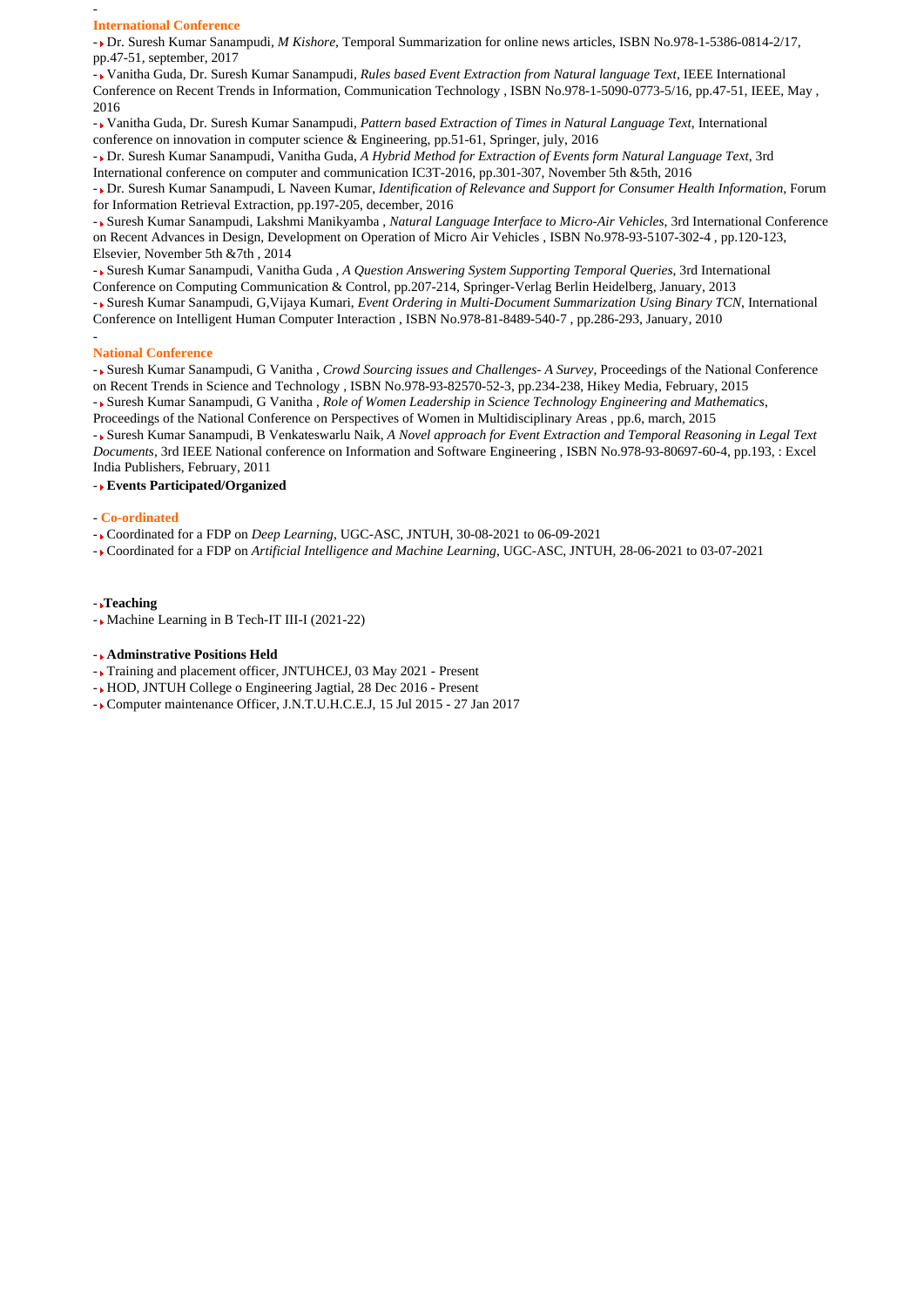#### **International Conference**

-

- Dr. Suresh Kumar Sanampudi, *M Kishore*, Temporal Summarization for online news articles, ISBN No.978-1-5386-0814-2/17, pp.47-51, september, 2017

- Vanitha Guda, Dr. Suresh Kumar Sanampudi, *Rules based Event Extraction from Natural language Text*, IEEE International Conference on Recent Trends in Information, Communication Technology , ISBN No.978-1-5090-0773-5/16, pp.47-51, IEEE, May , 2016

- Vanitha Guda, Dr. Suresh Kumar Sanampudi, *Pattern based Extraction of Times in Natural Language Text*, International conference on innovation in computer science & Engineering, pp.51-61, Springer, july, 2016

- Dr. Suresh Kumar Sanampudi, Vanitha Guda, *A Hybrid Method for Extraction of Events form Natural Language Text*, 3rd International conference on computer and communication IC3T-2016, pp.301-307, November 5th &5th, 2016

- Dr. Suresh Kumar Sanampudi, L Naveen Kumar, *Identification of Relevance and Support for Consumer Health Information*, Forum for Information Retrieval Extraction, pp.197-205, december, 2016

- Suresh Kumar Sanampudi, Lakshmi Manikyamba , *Natural Language Interface to Micro-Air Vehicles*, 3rd International Conference on Recent Advances in Design, Development on Operation of Micro Air Vehicles , ISBN No.978-93-5107-302-4 , pp.120-123, Elsevier, November 5th &7th , 2014

- Suresh Kumar Sanampudi, Vanitha Guda , *A Question Answering System Supporting Temporal Queries*, 3rd International Conference on Computing Communication & Control, pp.207-214, Springer-Verlag Berlin Heidelberg, January, 2013

- Suresh Kumar Sanampudi, G,Vijaya Kumari, *Event Ordering in Multi-Document Summarization Using Binary TCN*, International Conference on Intelligent Human Computer Interaction , ISBN No.978-81-8489-540-7 , pp.286-293, January, 2010

#### - **National Conference**

- Suresh Kumar Sanampudi, G Vanitha , *Crowd Sourcing issues and Challenges- A Survey*, Proceedings of the National Conference on Recent Trends in Science and Technology , ISBN No.978-93-82570-52-3, pp.234-238, Hikey Media, February, 2015

- Suresh Kumar Sanampudi, G Vanitha , *Role of Women Leadership in Science Technology Engineering and Mathematics*,

Proceedings of the National Conference on Perspectives of Women in Multidisciplinary Areas , pp.6, march, 2015

- Suresh Kumar Sanampudi, B Venkateswarlu Naik, *A Novel approach for Event Extraction and Temporal Reasoning in Legal Text Documents*, 3rd IEEE National conference on Information and Software Engineering , ISBN No.978-93-80697-60-4, pp.193, : Excel India Publishers, February, 2011

- **Events Participated/Organized**

#### - **Co-ordinated**

- Coordinated for a FDP on *Deep Learning*, UGC-ASC, JNTUH, 30-08-2021 to 06-09-2021

- Coordinated for a FDP on *Artificial Intelligence and Machine Learning*, UGC-ASC, JNTUH, 28-06-2021 to 03-07-2021

#### - **Teaching**

- Machine Learning in B Tech-IT III-I (2021-22)

### - **Adminstrative Positions Held**

- Training and placement officer, JNTUHCEJ, 03 May 2021 - Present

- HOD, JNTUH College o Engineering Jagtial, 28 Dec 2016 Present
- Computer maintenance Officer, J.N.T.U.H.C.E.J, 15 Jul 2015 27 Jan 2017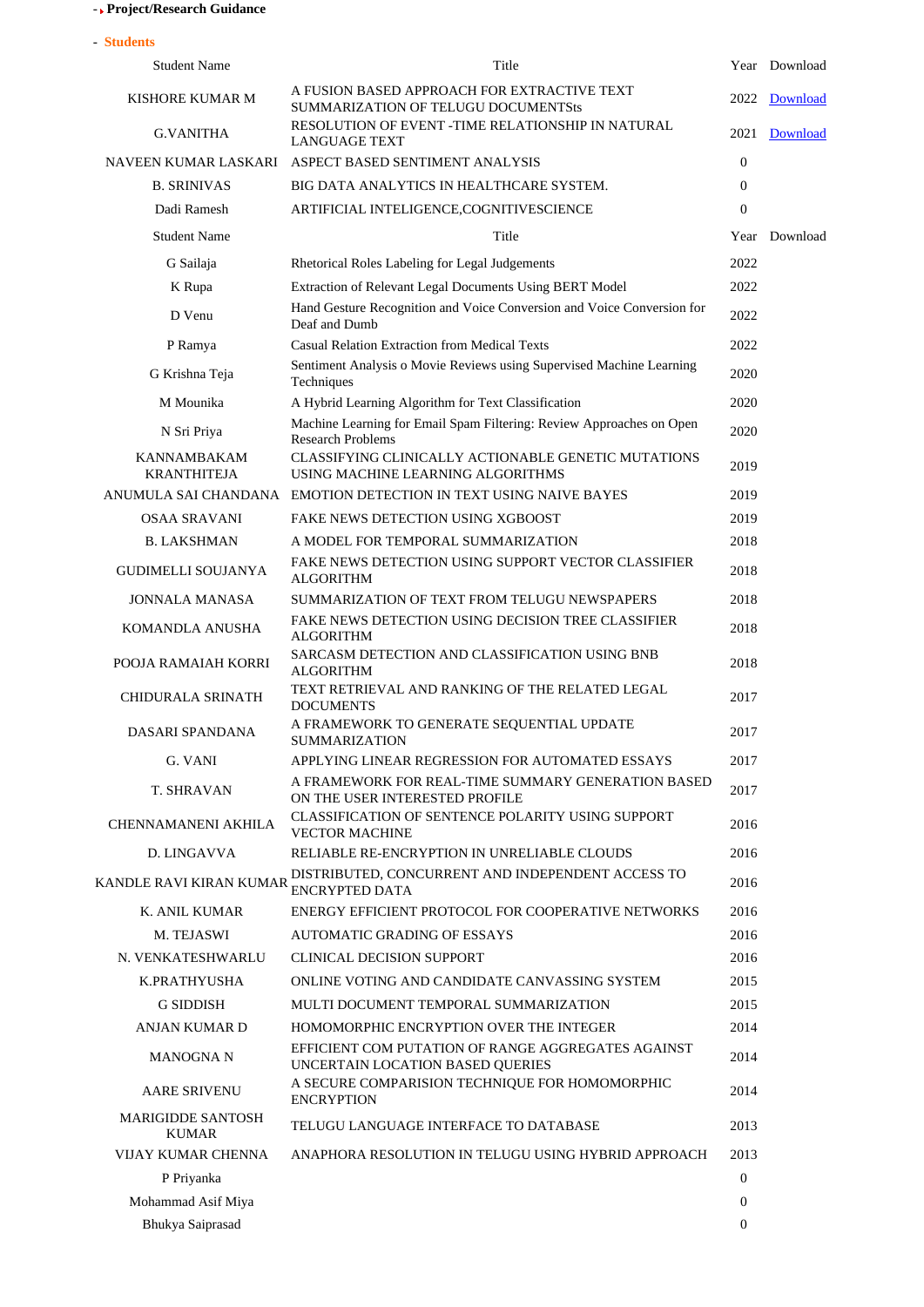# - **Project/Research Guidance**

| - Students                               |                                                                                                  |                  |               |
|------------------------------------------|--------------------------------------------------------------------------------------------------|------------------|---------------|
| <b>Student Name</b>                      | Title                                                                                            |                  | Year Download |
| KISHORE KUMAR M                          | A FUSION BASED APPROACH FOR EXTRACTIVE TEXT<br>SUMMARIZATION OF TELUGU DOCUMENTSts               | 2022             | Download      |
| <b>G.VANITHA</b>                         | RESOLUTION OF EVENT -TIME RELATIONSHIP IN NATURAL<br><b>LANGUAGE TEXT</b>                        | 2021             | Download      |
| NAVEEN KUMAR LASKARI                     | ASPECT BASED SENTIMENT ANALYSIS                                                                  | $\overline{0}$   |               |
| <b>B. SRINIVAS</b>                       | BIG DATA ANALYTICS IN HEALTHCARE SYSTEM.                                                         | $\overline{0}$   |               |
| Dadi Ramesh                              | ARTIFICIAL INTELIGENCE, COGNITIVESCIENCE                                                         | $\mathbf{0}$     |               |
| <b>Student Name</b>                      | Title                                                                                            |                  | Year Download |
| G Sailaja                                | Rhetorical Roles Labeling for Legal Judgements                                                   | 2022             |               |
| K Rupa                                   | Extraction of Relevant Legal Documents Using BERT Model                                          | 2022             |               |
| D Venu                                   | Hand Gesture Recognition and Voice Conversion and Voice Conversion for<br>Deaf and Dumb          | 2022             |               |
| P Ramya                                  | <b>Casual Relation Extraction from Medical Texts</b>                                             | 2022             |               |
| G Krishna Teja                           | Sentiment Analysis o Movie Reviews using Supervised Machine Learning<br>Techniques               | 2020             |               |
| M Mounika                                | A Hybrid Learning Algorithm for Text Classification                                              | 2020             |               |
| N Sri Priya                              | Machine Learning for Email Spam Filtering: Review Approaches on Open<br><b>Research Problems</b> | 2020             |               |
| <b>KANNAMBAKAM</b><br><b>KRANTHITEJA</b> | CLASSIFYING CLINICALLY ACTIONABLE GENETIC MUTATIONS<br>USING MACHINE LEARNING ALGORITHMS         | 2019             |               |
|                                          | ANUMULA SAI CHANDANA EMOTION DETECTION IN TEXT USING NAIVE BAYES                                 | 2019             |               |
| <b>OSAA SRAVANI</b>                      | FAKE NEWS DETECTION USING XGBOOST                                                                | 2019             |               |
| <b>B. LAKSHMAN</b>                       | A MODEL FOR TEMPORAL SUMMARIZATION                                                               | 2018             |               |
| <b>GUDIMELLI SOUJANYA</b>                | FAKE NEWS DETECTION USING SUPPORT VECTOR CLASSIFIER<br><b>ALGORITHM</b>                          | 2018             |               |
| <b>JONNALA MANASA</b>                    | SUMMARIZATION OF TEXT FROM TELUGU NEWSPAPERS                                                     | 2018             |               |
| KOMANDLA ANUSHA                          | FAKE NEWS DETECTION USING DECISION TREE CLASSIFIER<br><b>ALGORITHM</b>                           | 2018             |               |
| POOJA RAMAIAH KORRI                      | SARCASM DETECTION AND CLASSIFICATION USING BNB<br><b>ALGORITHM</b>                               | 2018             |               |
| <b>CHIDURALA SRINATH</b>                 | TEXT RETRIEVAL AND RANKING OF THE RELATED LEGAL<br><b>DOCUMENTS</b>                              | 2017             |               |
| DASARI SPANDANA                          | A FRAMEWORK TO GENERATE SEQUENTIAL UPDATE<br><b>SUMMARIZATION</b>                                | 2017             |               |
| G. VANI                                  | APPLYING LINEAR REGRESSION FOR AUTOMATED ESSAYS                                                  | 2017             |               |
| <b>T. SHRAVAN</b>                        | A FRAMEWORK FOR REAL-TIME SUMMARY GENERATION BASED<br>ON THE USER INTERESTED PROFILE             | 2017             |               |
| <b>CHENNAMANENI AKHILA</b>               | CLASSIFICATION OF SENTENCE POLARITY USING SUPPORT<br><b>VECTOR MACHINE</b>                       | 2016             |               |
| D. LINGAVVA                              | RELIABLE RE-ENCRYPTION IN UNRELIABLE CLOUDS                                                      | 2016             |               |
| <b>KANDLE RAVI KIRAN KUMAR</b>           | DISTRIBUTED, CONCURRENT AND INDEPENDENT ACCESS TO<br><b>ENCRYPTED DATA</b>                       | 2016             |               |
| K. ANIL KUMAR                            | ENERGY EFFICIENT PROTOCOL FOR COOPERATIVE NETWORKS                                               | 2016             |               |
| M. TEJASWI                               | <b>AUTOMATIC GRADING OF ESSAYS</b>                                                               | 2016             |               |
| N. VENKATESHWARLU                        | CLINICAL DECISION SUPPORT                                                                        | 2016             |               |
| K.PRATHYUSHA                             | ONLINE VOTING AND CANDIDATE CANVASSING SYSTEM                                                    | 2015             |               |
| <b>G SIDDISH</b>                         | MULTI DOCUMENT TEMPORAL SUMMARIZATION                                                            | 2015             |               |
| ANJAN KUMAR D                            | HOMOMORPHIC ENCRYPTION OVER THE INTEGER                                                          | 2014             |               |
| <b>MANOGNA N</b>                         | EFFICIENT COM PUTATION OF RANGE AGGREGATES AGAINST<br>UNCERTAIN LOCATION BASED QUERIES           | 2014             |               |
| <b>AARE SRIVENU</b>                      | A SECURE COMPARISION TECHNIQUE FOR HOMOMORPHIC<br><b>ENCRYPTION</b>                              | 2014             |               |
| <b>MARIGIDDE SANTOSH</b><br><b>KUMAR</b> | TELUGU LANGUAGE INTERFACE TO DATABASE                                                            | 2013             |               |
| VIJAY KUMAR CHENNA                       | ANAPHORA RESOLUTION IN TELUGU USING HYBRID APPROACH                                              | 2013             |               |
| P Priyanka                               |                                                                                                  | $\boldsymbol{0}$ |               |
| Mohammad Asif Miya                       |                                                                                                  | 0                |               |
| Bhukya Saiprasad                         |                                                                                                  | $\overline{0}$   |               |